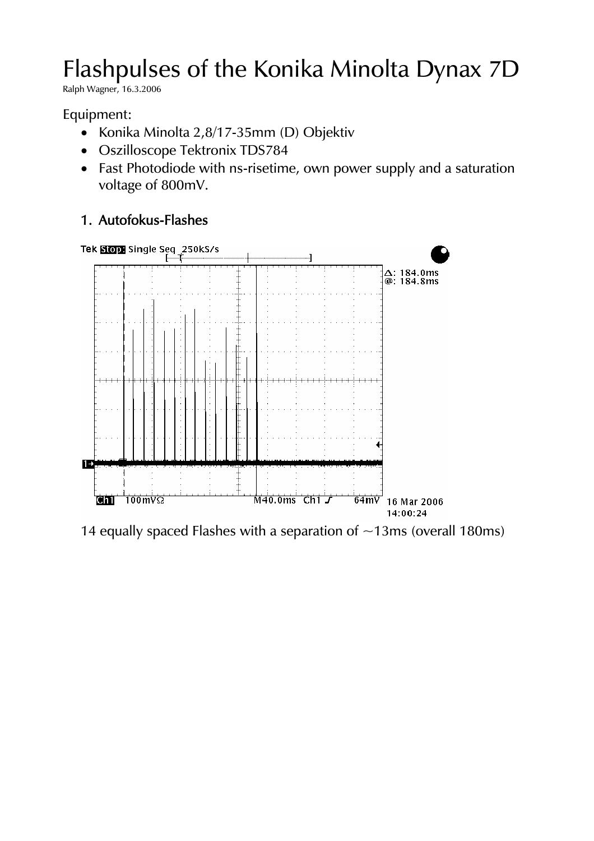# Flashpulses of the Konika Minolta Dynax 7D

Ralph Wagner, 16.3.2006

### Equipment:

- Konika Minolta 2,8/17-35mm (D) Objektiv
- Oszilloscope Tektronix TDS784
- Fast Photodiode with ns-risetime, own power supply and a saturation voltage of 800mV.

## 1. Autofokus-Flashes



14 equally spaced Flashes with a separation of  $\sim$ 13ms (overall 180ms)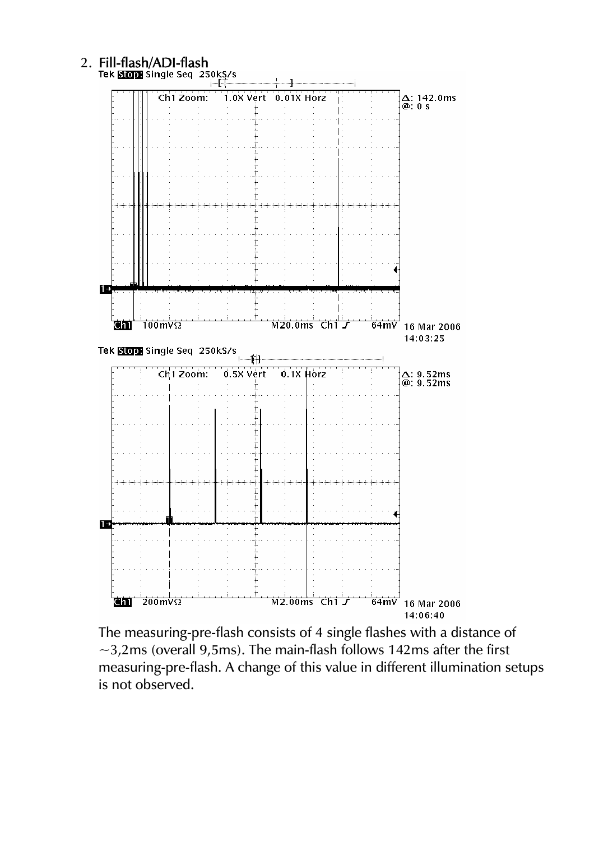## 2. Fill-flash/ADI-flash<br>Tek **Stop:** Single Seq 250kS/s



14:06:40<br>The measuring-pre-flash consists of 4 single flashes with a distance of ~3,2ms (overall 9,5ms). The main-flash follows 142ms after the first measuring-pre-flash. A change of this value in different illumination setups is not observed.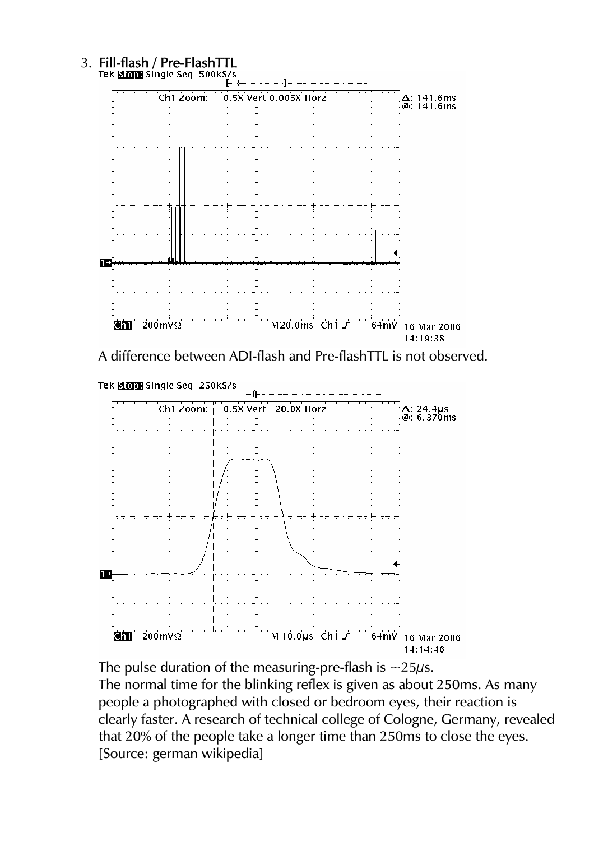

The pulse duration of the measuring-pre-flash is  $\sim$ 25 $\mu$ s. The normal time for the blinking reflex is given as about 250ms. As many people a photographed with closed or bedroom eyes, their reaction is clearly faster. A research of technical college of Cologne, Germany, revealed that 20% of the people take a longer time than 250ms to close the eyes. [Source: german wikipedia]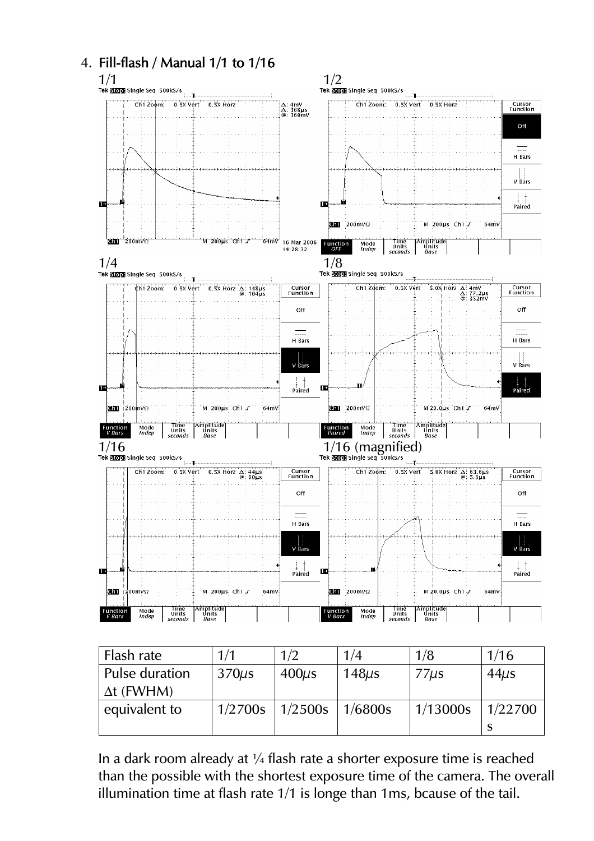

| Flash rate        | 1/1        | 1/2        | 1/4        | 1/8       | 1/16      |
|-------------------|------------|------------|------------|-----------|-----------|
| Pulse duration    | $370\mu s$ | $400\mu s$ | $148\mu s$ | $77\mu s$ | $44\mu s$ |
| $\Delta t$ (FWHM) |            |            |            |           |           |
| equivalent to     | 1/2700s    | 1/2500s    | 1/6800s    | 1/13000s  | 1/22700   |
|                   |            |            |            |           |           |

In a dark room already at 1/4 flash rate a shorter exposure time is reached than the possible with the shortest exposure time of the camera. The overall illumination time at flash rate 1/1 is longe than 1ms, bcause of the tail.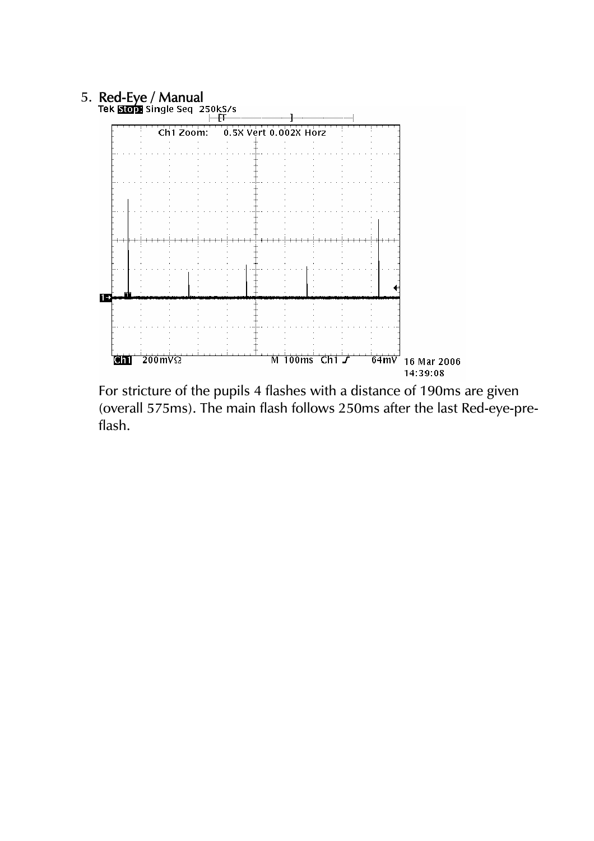

For stricture of the pupils 4 flashes with a distance of 190ms are given (overall 575ms). The main flash follows 250ms after the last Red-eye-preflash.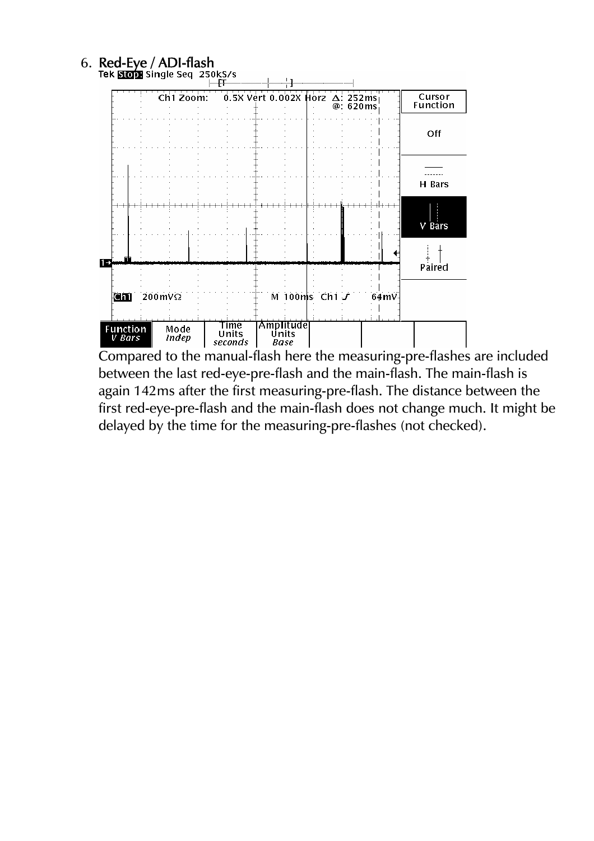## 6. Red-Eye / ADI-flash<br>Tek **Stop** Single Seq 250kS/s



Compared to the manual-flash here the measuring-pre-flashes are included between the last red-eye-pre-flash and the main-flash. The main-flash is again 142ms after the first measuring-pre-flash. The distance between the first red-eye-pre-flash and the main-flash does not change much. It might be delayed by the time for the measuring-pre-flashes (not checked).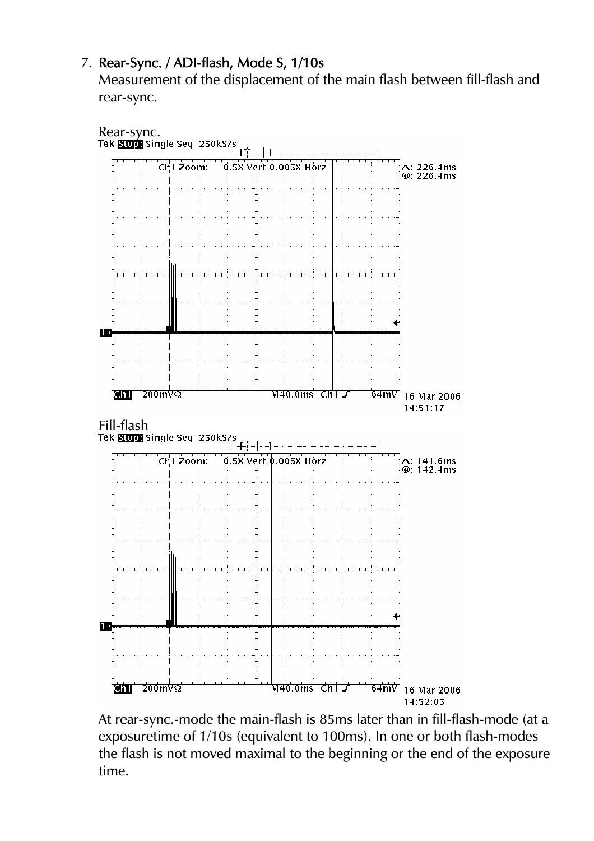## 7. Rear-Sync. / ADI-flash, Mode S, 1/10s

Measurement of the displacement of the main flash between fill-flash and rear-sync.



At rear-sync.-mode the main-flash is 85ms later than in fill-flash-mode (at a exposuretime of 1/10s (equivalent to 100ms). In one or both flash-modes the flash is not moved maximal to the beginning or the end of the exposure time.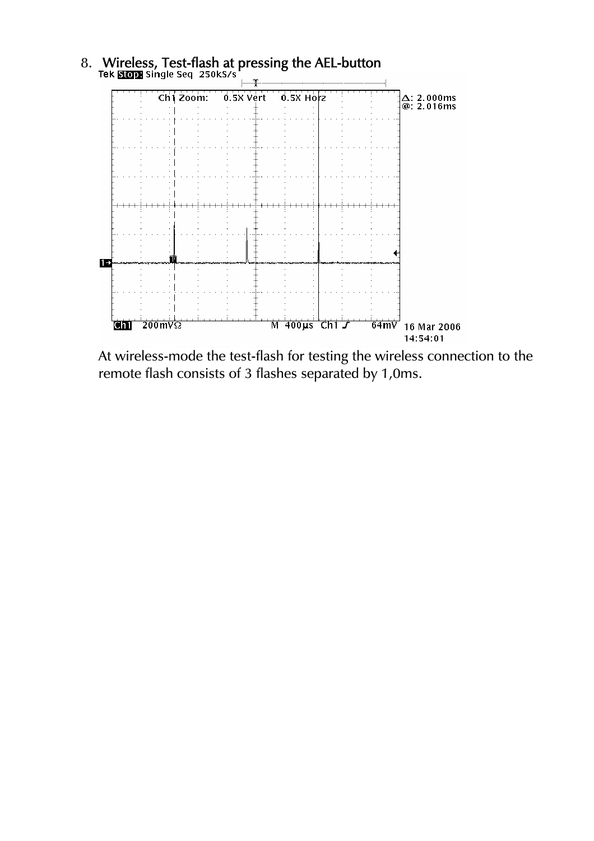

8. Wireless, Test-flash at pressing the AEL-button Tek Stop Single Seq 250kS/s

At wireless-mode the test-flash for testing the wireless connection to the remote flash consists of 3 flashes separated by 1,0ms.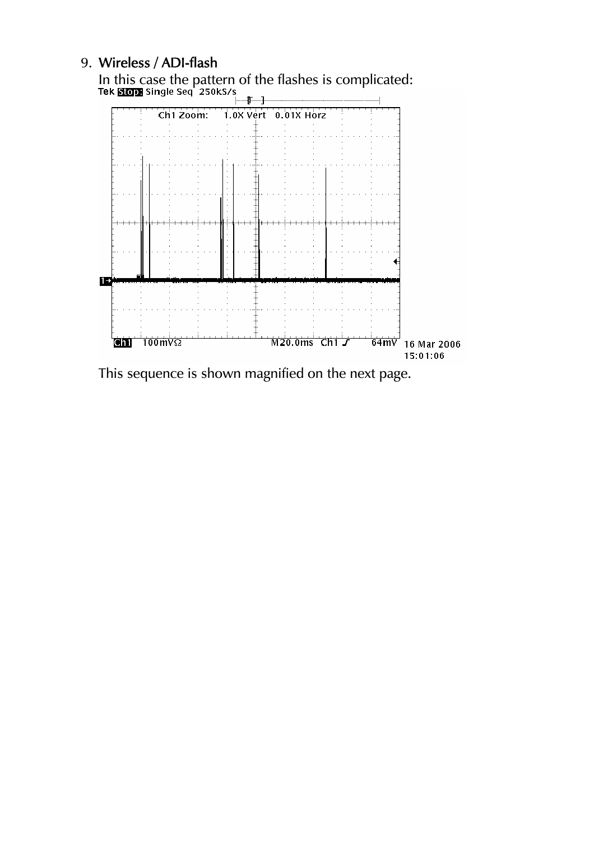## 9. Wireless / ADI-flash

In this case the pattern of the flashes is complicated:<br>Tek **stop** single seq 250ks/s



This sequence is shown magnified on the next page.